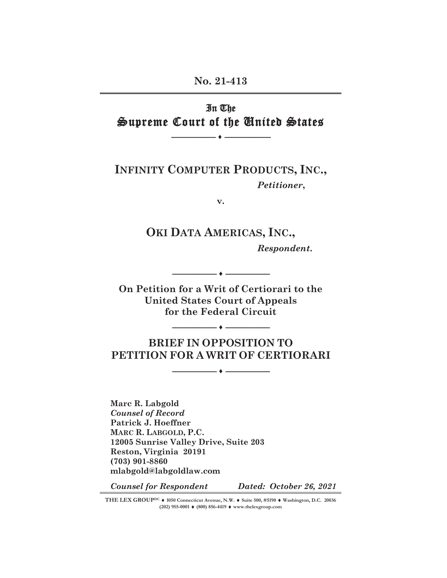### **No. 21-413**

# In The Supreme Court of the United States

**-------------------------- ʕ ---------------------------** 

**INFINITY COMPUTER PRODUCTS, INC.,** *Petitioner***,**

**v.** 

# **OKI DATA AMERICAS, INC.,**

*Respondent***.**

**On Petition for a Writ of Certiorari to the United States Court of Appeals for the Federal Circuit** 

**-------------------------- ʕ --------------------------** 

**-------------------------- ʕ --------------------------** 

# **BRIEF IN OPPOSITION TO PETITION FOR A WRIT OF CERTIORARI**

**-------------------------- ʕ --------------------------**

**Marc R. Labgold**  *Counsel of Record*  **Patrick J. Hoeffner MARC R. LABGOLD, P.C. 12005 Sunrise Valley Drive, Suite 203 Reston, Virginia 20191 (703) 901-8860 mlabgold@labgoldlaw.com** 

*Counsel for Respondent Dated: October 26, 2021*

THE LEX GROUP<sup>DC</sup>  $\blacklozenge$  1050 Connecticut Avenue, N.W.  $\blacklozenge$  Suite 500, #5190 $\blacklozenge$  Washington, D.C. 20036 **(202) 955-0001 ♦ (800) 856-4419 ♦ www.thelexgroup.com**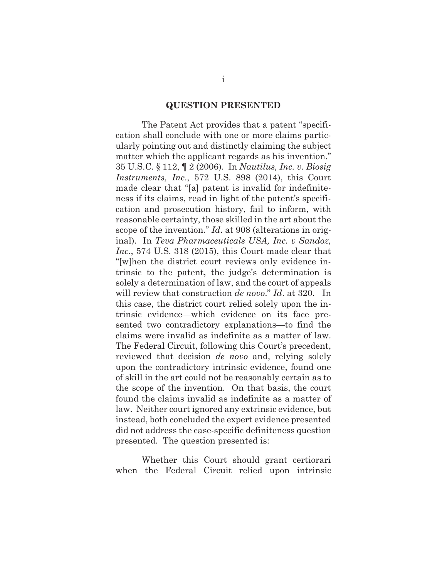#### **QUESTION PRESENTED**

The Patent Act provides that a patent "specification shall conclude with one or more claims particularly pointing out and distinctly claiming the subject matter which the applicant regards as his invention." 35 U.S.C. § 112, ¶ 2 (2006). In *Nautilus, Inc. v. Biosig Instruments, Inc*., 572 U.S. 898 (2014), this Court made clear that "[a] patent is invalid for indefiniteness if its claims, read in light of the patent's specification and prosecution history, fail to inform, with reasonable certainty, those skilled in the art about the scope of the invention." *Id*. at 908 (alterations in original). In *Teva Pharmaceuticals USA, Inc. v Sandoz, Inc.*, 574 U.S. 318 (2015), this Court made clear that "[w]hen the district court reviews only evidence intrinsic to the patent, the judge's determination is solely a determination of law, and the court of appeals will review that construction *de novo*." *Id*. at 320. In this case, the district court relied solely upon the intrinsic evidence—which evidence on its face presented two contradictory explanations—to find the claims were invalid as indefinite as a matter of law. The Federal Circuit, following this Court's precedent, reviewed that decision *de novo* and, relying solely upon the contradictory intrinsic evidence, found one of skill in the art could not be reasonably certain as to the scope of the invention. On that basis, the court found the claims invalid as indefinite as a matter of law. Neither court ignored any extrinsic evidence, but instead, both concluded the expert evidence presented did not address the case-specific definiteness question presented. The question presented is:

Whether this Court should grant certiorari when the Federal Circuit relied upon intrinsic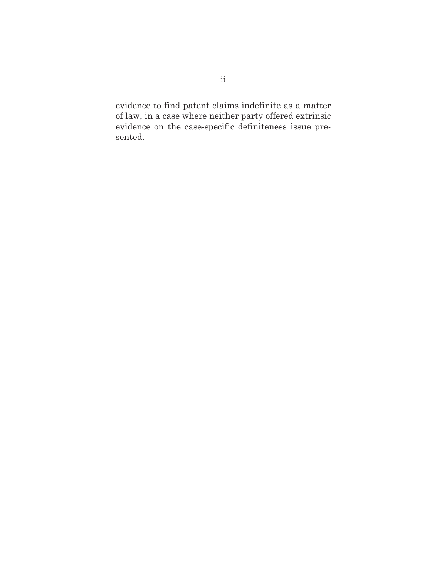evidence to find patent claims indefinite as a matter of law, in a case where neither party offered extrinsic evidence on the case-specific definiteness issue presented.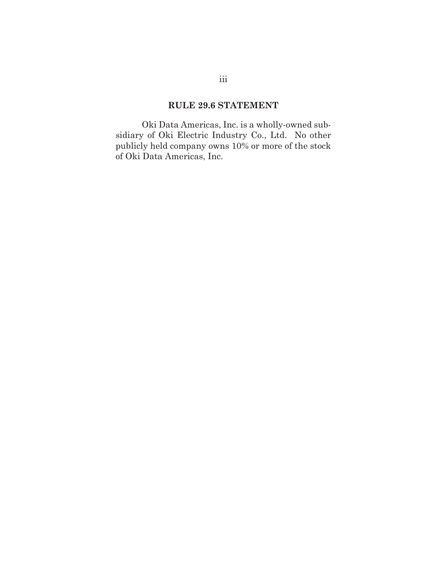### **RULE 29.6 STATEMENT**

 Oki Data Americas, Inc. is a wholly-owned subsidiary of Oki Electric Industry Co., Ltd. No other publicly held company owns 10% or more of the stock of Oki Data Americas, Inc.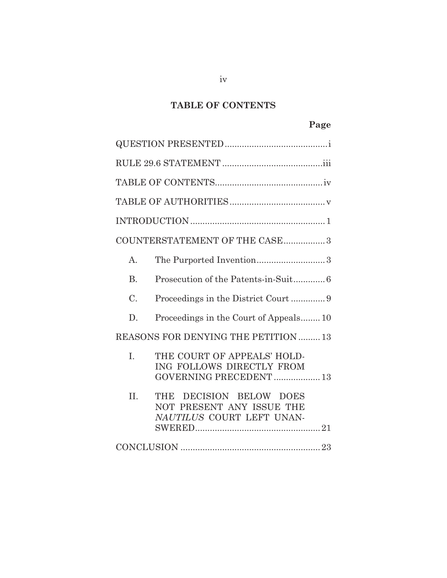# **TABLE OF CONTENTS**

|                                      | COUNTERSTATEMENT OF THE CASE3                                                        |  |
|--------------------------------------|--------------------------------------------------------------------------------------|--|
| $\mathbf{A}$ .                       |                                                                                      |  |
| <b>B.</b>                            |                                                                                      |  |
| C.                                   |                                                                                      |  |
| D.                                   | Proceedings in the Court of Appeals10                                                |  |
| REASONS FOR DENYING THE PETITION  13 |                                                                                      |  |
| I.                                   | THE COURT OF APPEALS' HOLD-<br>ING FOLLOWS DIRECTLY FROM<br>GOVERNING PRECEDENT 13   |  |
| II.                                  | DECISION BELOW DOES<br>THE<br>NOT PRESENT ANY ISSUE THE<br>NAUTILUS COURT LEFT UNAN- |  |
|                                      |                                                                                      |  |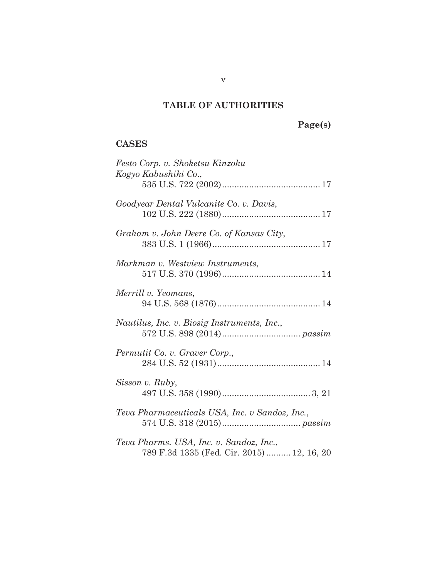# **TABLE OF AUTHORITIES**

**Page(s)** 

### **CASES**

| Festo Corp. v. Shoketsu Kinzoku<br>Kogyo Kabushiki Co.,                              |
|--------------------------------------------------------------------------------------|
| Goodyear Dental Vulcanite Co. v. Davis,                                              |
| Graham v. John Deere Co. of Kansas City,                                             |
| Markman v. Westview Instruments,                                                     |
| Merrill v. Yeomans,                                                                  |
| Nautilus, Inc. v. Biosig Instruments, Inc.,                                          |
| Permutit Co. v. Graver Corp.,                                                        |
| Sisson v. Ruby,                                                                      |
| Teva Pharmaceuticals USA, Inc. v Sandoz, Inc.,                                       |
| Teva Pharms. USA, Inc. v. Sandoz, Inc.,<br>789 F.3d 1335 (Fed. Cir. 2015) 12, 16, 20 |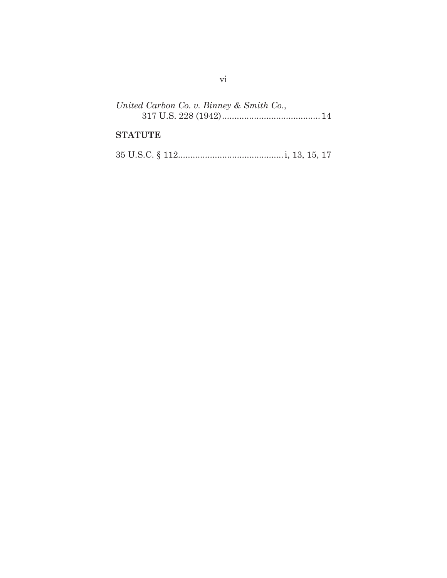| United Carbon Co. v. Binney & Smith Co., |  |
|------------------------------------------|--|
|                                          |  |

## **STATUTE**

|--|--|--|--|--|--|--|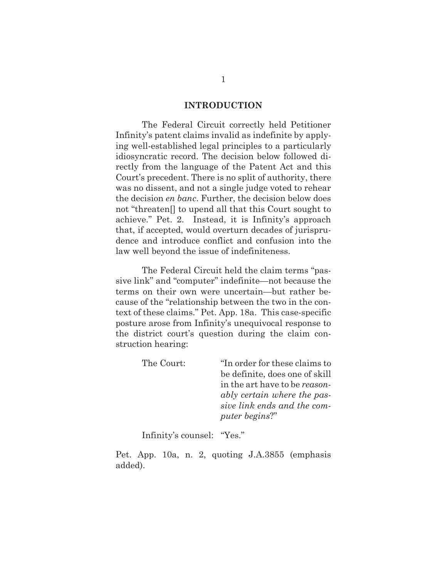#### **INTRODUCTION**

The Federal Circuit correctly held Petitioner Infinity's patent claims invalid as indefinite by applying well-established legal principles to a particularly idiosyncratic record. The decision below followed directly from the language of the Patent Act and this Court's precedent. There is no split of authority, there was no dissent, and not a single judge voted to rehear the decision *en banc*. Further, the decision below does not "threaten[] to upend all that this Court sought to achieve." Pet. 2. Instead, it is Infinity's approach that, if accepted, would overturn decades of jurisprudence and introduce conflict and confusion into the law well beyond the issue of indefiniteness.

The Federal Circuit held the claim terms "passive link" and "computer" indefinite—not because the terms on their own were uncertain—but rather because of the "relationship between the two in the context of these claims." Pet. App. 18a. This case-specific posture arose from Infinity's unequivocal response to the district court's question during the claim construction hearing:

> The Court: "In order for these claims to be definite, does one of skill in the art have to be *reasonably certain where the passive link ends and the computer begins*?"

Infinity's counsel: "Yes."

Pet. App. 10a, n. 2, quoting J.A.3855 (emphasis added).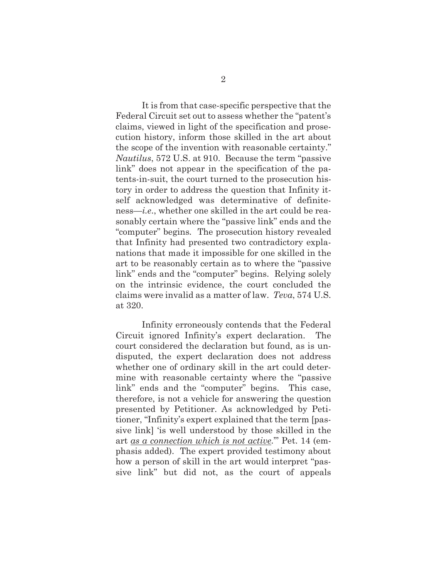It is from that case-specific perspective that the Federal Circuit set out to assess whether the "patent's claims, viewed in light of the specification and prosecution history, inform those skilled in the art about the scope of the invention with reasonable certainty." *Nautilus*, 572 U.S. at 910. Because the term "passive link" does not appear in the specification of the patents-in-suit, the court turned to the prosecution history in order to address the question that Infinity itself acknowledged was determinative of definiteness—*i.e*., whether one skilled in the art could be reasonably certain where the "passive link" ends and the "computer" begins*.* The prosecution history revealed that Infinity had presented two contradictory explanations that made it impossible for one skilled in the art to be reasonably certain as to where the "passive link" ends and the "computer" begins. Relying solely on the intrinsic evidence, the court concluded the claims were invalid as a matter of law. *Teva*, 574 U.S. at 320.

Infinity erroneously contends that the Federal Circuit ignored Infinity's expert declaration. The court considered the declaration but found, as is undisputed, the expert declaration does not address whether one of ordinary skill in the art could determine with reasonable certainty where the "passive link" ends and the "computer" begins. This case, therefore, is not a vehicle for answering the question presented by Petitioner. As acknowledged by Petitioner, "Infinity's expert explained that the term [passive link] 'is well understood by those skilled in the art *as a connection which is not active*.'" Pet. 14 (emphasis added). The expert provided testimony about how a person of skill in the art would interpret "passive link" but did not, as the court of appeals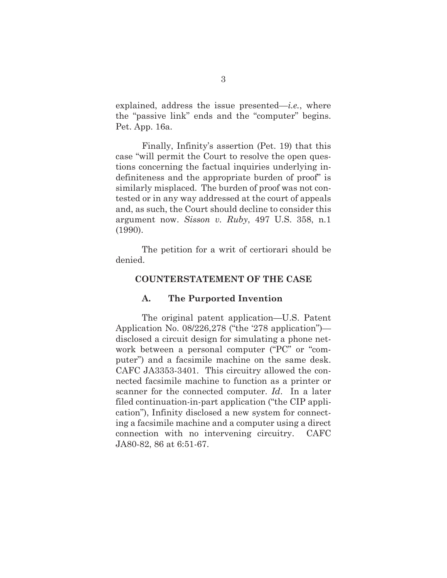explained, address the issue presented—*i.e.*, where the "passive link" ends and the "computer" begins. Pet. App. 16a.

Finally, Infinity's assertion (Pet. 19) that this case "will permit the Court to resolve the open questions concerning the factual inquiries underlying indefiniteness and the appropriate burden of proof" is similarly misplaced. The burden of proof was not contested or in any way addressed at the court of appeals and, as such, the Court should decline to consider this argument now. *Sisson v. Ruby*, 497 U.S. 358, n.1 (1990).

The petition for a writ of certiorari should be denied.

#### **COUNTERSTATEMENT OF THE CASE**

#### **A. The Purported Invention**

The original patent application—U.S. Patent Application No. 08/226,278 ("the '278 application") disclosed a circuit design for simulating a phone network between a personal computer ("PC" or "computer") and a facsimile machine on the same desk. CAFC JA3353-3401. This circuitry allowed the connected facsimile machine to function as a printer or scanner for the connected computer. *Id*. In a later filed continuation-in-part application ("the CIP application"), Infinity disclosed a new system for connecting a facsimile machine and a computer using a direct connection with no intervening circuitry. CAFC JA80-82, 86 at 6:51-67.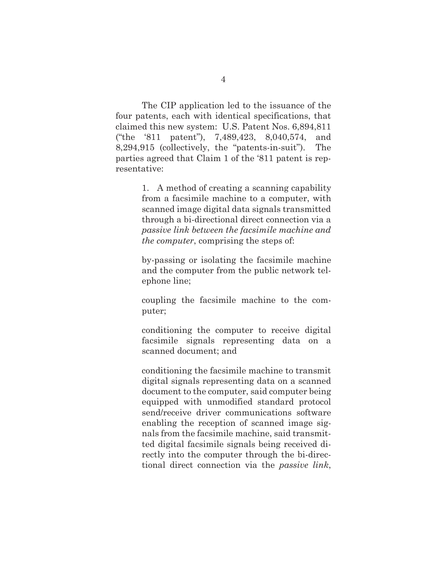The CIP application led to the issuance of the four patents, each with identical specifications, that claimed this new system: U.S. Patent Nos. 6,894,811 ("the '811 patent"), 7,489,423, 8,040,574, and 8,294,915 (collectively, the "patents-in-suit"). The parties agreed that Claim 1 of the '811 patent is representative:

> 1. A method of creating a scanning capability from a facsimile machine to a computer, with scanned image digital data signals transmitted through a bi-directional direct connection via a *passive link between the facsimile machine and the computer*, comprising the steps of:

> by-passing or isolating the facsimile machine and the computer from the public network telephone line;

> coupling the facsimile machine to the computer;

> conditioning the computer to receive digital facsimile signals representing data on a scanned document; and

> conditioning the facsimile machine to transmit digital signals representing data on a scanned document to the computer, said computer being equipped with unmodified standard protocol send/receive driver communications software enabling the reception of scanned image signals from the facsimile machine, said transmitted digital facsimile signals being received directly into the computer through the bi-directional direct connection via the *passive link*,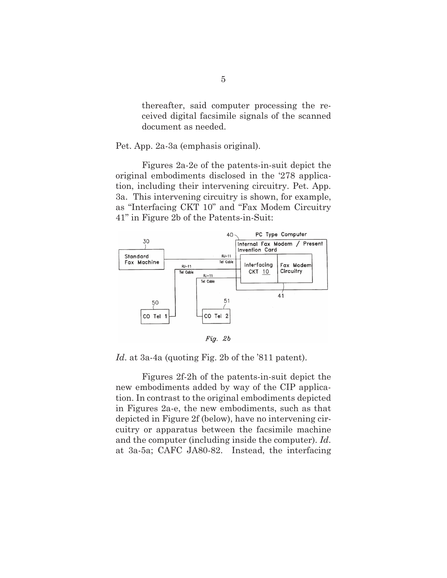thereafter, said computer processing the received digital facsimile signals of the scanned document as needed.

Pet. App. 2a-3a (emphasis original).

Figures 2a-2e of the patents-in-suit depict the original embodiments disclosed in the '278 application, including their intervening circuitry. Pet. App. 3a. This intervening circuitry is shown, for example, as "Interfacing CKT 10" and "Fax Modem Circuitry 41" in Figure 2b of the Patents-in-Suit:



*Id*. at 3a-4a (quoting Fig. 2b of the '811 patent).

Figures 2f-2h of the patents-in-suit depict the new embodiments added by way of the CIP application. In contrast to the original embodiments depicted in Figures 2a-e, the new embodiments, such as that depicted in Figure 2f (below), have no intervening circuitry or apparatus between the facsimile machine and the computer (including inside the computer). *Id*. at 3a-5a; CAFC JA80-82. Instead, the interfacing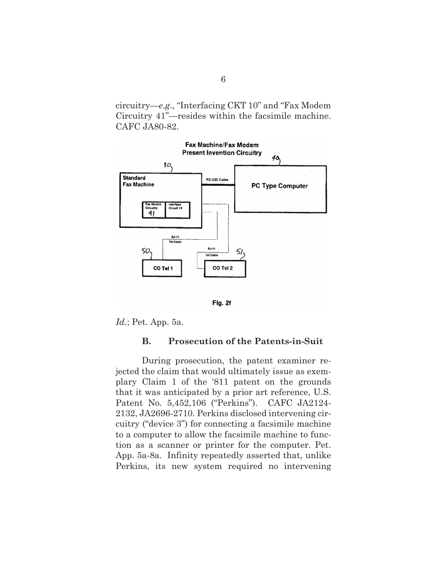circuitry—*e.g*., "Interfacing CKT 10" and "Fax Modem Circuitry 41"—resides within the facsimile machine. CAFC JA80-82.





*Id.*; Pet. App. 5a.

#### **B. Prosecution of the Patents-in-Suit**

During prosecution, the patent examiner rejected the claim that would ultimately issue as exemplary Claim 1 of the '811 patent on the grounds that it was anticipated by a prior art reference, U.S. Patent No. 5,452,106 ("Perkins"). CAFC JA2124- 2132, JA2696-2710. Perkins disclosed intervening circuitry ("device 3") for connecting a facsimile machine to a computer to allow the facsimile machine to function as a scanner or printer for the computer. Pet. App. 5a-8a. Infinity repeatedly asserted that, unlike Perkins, its new system required no intervening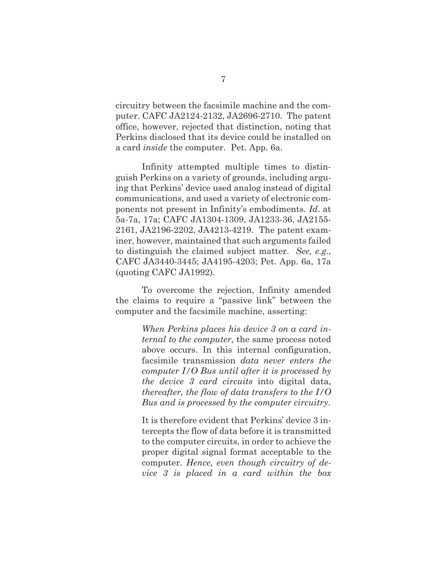circuitry between the facsimile machine and the computer. CAFC JA2124-2132, JA2696-2710. The patent office, however, rejected that distinction, noting that Perkins disclosed that its device could be installed on a card *inside* the computer. Pet. App. 6a.

Infinity attempted multiple times to distinguish Perkins on a variety of grounds, including arguing that Perkins' device used analog instead of digital communications, and used a variety of electronic components not present in Infinity's embodiments. *Id*. at 5a-7a, 17a; CAFC JA1304-1309, JA1233-36, JA2155- 2161, JA2196-2202, JA4213-4219. The patent examiner, however, maintained that such arguments failed to distinguish the claimed subject matter. *See, e.g.*, CAFC JA3440-3445; JA4195-4203; Pet. App. 6a, 17a (quoting CAFC JA1992).

To overcome the rejection, Infinity amended the claims to require a "passive link" between the computer and the facsimile machine, asserting:

> *When Perkins places his device 3 on a card internal to the computer*, the same process noted above occurs. In this internal configuration, facsimile transmission *data never enters the computer I/O Bus until after it is processed by the device 3 card circuits* into digital data, *thereafter, the flow of data transfers to the I/O Bus and is processed by the computer circuitry*.

> It is therefore evident that Perkins' device 3 intercepts the flow of data before it is transmitted to the computer circuits, in order to achieve the proper digital signal format acceptable to the computer. *Hence, even though circuitry of device 3 is placed in a card within the box*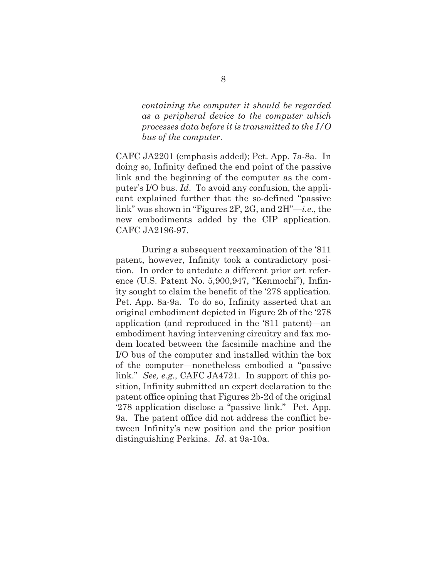*containing the computer it should be regarded as a peripheral device to the computer which processes data before it is transmitted to the I/O bus of the computer*.

CAFC JA2201 (emphasis added); Pet. App. 7a-8a. In doing so, Infinity defined the end point of the passive link and the beginning of the computer as the computer's I/O bus. *Id*. To avoid any confusion, the applicant explained further that the so-defined "passive link" was shown in "Figures 2F, 2G, and 2H"—*i.e*., the new embodiments added by the CIP application. CAFC JA2196-97.

During a subsequent reexamination of the '811 patent, however, Infinity took a contradictory position. In order to antedate a different prior art reference (U.S. Patent No. 5,900,947, "Kenmochi"), Infinity sought to claim the benefit of the '278 application. Pet. App. 8a-9a. To do so, Infinity asserted that an original embodiment depicted in Figure 2b of the '278 application (and reproduced in the '811 patent)—an embodiment having intervening circuitry and fax modem located between the facsimile machine and the I/O bus of the computer and installed within the box of the computer—nonetheless embodied a "passive link." *See, e.g.*, CAFC JA4721. In support of this position, Infinity submitted an expert declaration to the patent office opining that Figures 2b-2d of the original '278 application disclose a "passive link." Pet. App. 9a. The patent office did not address the conflict between Infinity's new position and the prior position distinguishing Perkins. *Id*. at 9a-10a.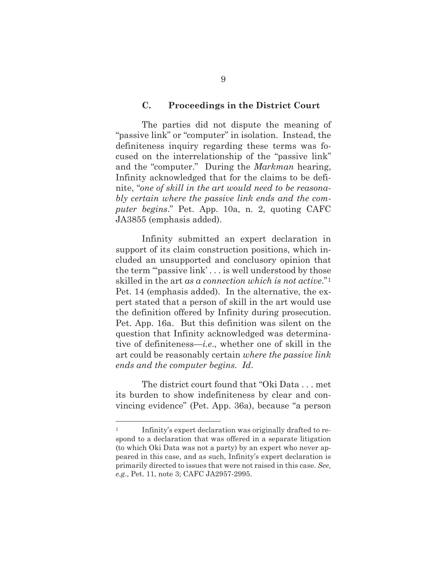#### **C. Proceedings in the District Court**

The parties did not dispute the meaning of "passive link" or "computer" in isolation. Instead, the definiteness inquiry regarding these terms was focused on the interrelationship of the "passive link" and the "computer." During the *Markman* hearing, Infinity acknowledged that for the claims to be definite, "*one of skill in the art would need to be reasonably certain where the passive link ends and the computer begins*." Pet. App. 10a, n. 2, quoting CAFC JA3855 (emphasis added).

Infinity submitted an expert declaration in support of its claim construction positions, which included an unsupported and conclusory opinion that the term "'passive link' . . . is well understood by those skilled in the art *as a connection which is not active*."1 Pet. 14 (emphasis added). In the alternative, the expert stated that a person of skill in the art would use the definition offered by Infinity during prosecution. Pet. App. 16a. But this definition was silent on the question that Infinity acknowledged was determinative of definiteness—*i.e*., whether one of skill in the art could be reasonably certain *where the passive link ends and the computer begins. Id*.

The district court found that "Oki Data . . . met its burden to show indefiniteness by clear and convincing evidence" (Pet. App. 36a), because "a person

<sup>1</sup> Infinity's expert declaration was originally drafted to respond to a declaration that was offered in a separate litigation (to which Oki Data was not a party) by an expert who never appeared in this case, and as such, Infinity's expert declaration is primarily directed to issues that were not raised in this case. *See, e.g*., Pet. 11, note 3; CAFC JA2957-2995.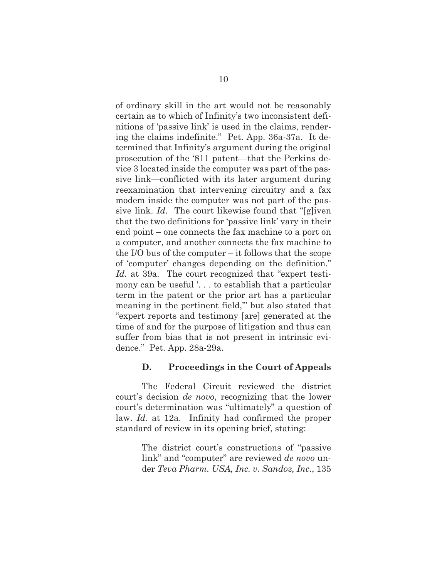of ordinary skill in the art would not be reasonably certain as to which of Infinity's two inconsistent definitions of 'passive link' is used in the claims, rendering the claims indefinite." Pet. App. 36a-37a. It determined that Infinity's argument during the original prosecution of the '811 patent—that the Perkins device 3 located inside the computer was part of the passive link—conflicted with its later argument during reexamination that intervening circuitry and a fax modem inside the computer was not part of the passive link. *Id.* The court likewise found that "[g]iven that the two definitions for 'passive link' vary in their end point – one connects the fax machine to a port on a computer, and another connects the fax machine to the I/O bus of the computer – it follows that the scope of 'computer' changes depending on the definition." *Id*. at 39a. The court recognized that "expert testimony can be useful '. . . to establish that a particular term in the patent or the prior art has a particular meaning in the pertinent field,'" but also stated that "expert reports and testimony [are] generated at the time of and for the purpose of litigation and thus can suffer from bias that is not present in intrinsic evidence." Pet. App. 28a-29a.

#### **D. Proceedings in the Court of Appeals**

The Federal Circuit reviewed the district court's decision *de novo*, recognizing that the lower court's determination was "ultimately" a question of law. *Id*. at 12a. Infinity had confirmed the proper standard of review in its opening brief, stating:

> The district court's constructions of "passive link" and "computer" are reviewed *de novo* under *Teva Pharm. USA, Inc. v. Sandoz, Inc*., 135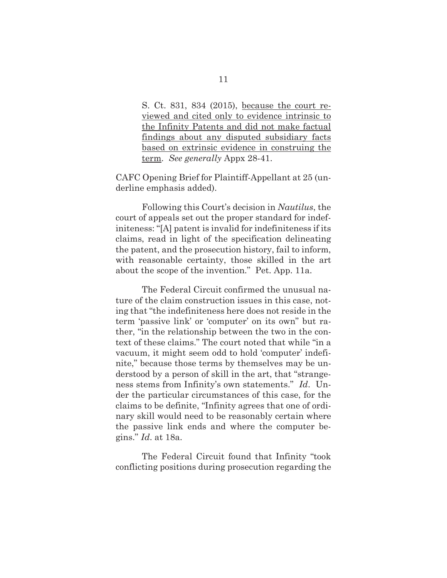S. Ct. 831, 834 (2015), because the court reviewed and cited only to evidence intrinsic to the Infinity Patents and did not make factual findings about any disputed subsidiary facts based on extrinsic evidence in construing the term. *See generally* Appx 28-41.

CAFC Opening Brief for Plaintiff-Appellant at 25 (underline emphasis added).

Following this Court's decision in *Nautilus*, the court of appeals set out the proper standard for indefiniteness: "[A] patent is invalid for indefiniteness if its claims, read in light of the specification delineating the patent, and the prosecution history, fail to inform, with reasonable certainty, those skilled in the art about the scope of the invention." Pet. App. 11a.

The Federal Circuit confirmed the unusual nature of the claim construction issues in this case, noting that "the indefiniteness here does not reside in the term 'passive link' or 'computer' on its own" but rather, "in the relationship between the two in the context of these claims." The court noted that while "in a vacuum, it might seem odd to hold 'computer' indefinite," because those terms by themselves may be understood by a person of skill in the art, that "strangeness stems from Infinity's own statements." *Id*. Under the particular circumstances of this case, for the claims to be definite, "Infinity agrees that one of ordinary skill would need to be reasonably certain where the passive link ends and where the computer begins." *Id*. at 18a.

The Federal Circuit found that Infinity "took conflicting positions during prosecution regarding the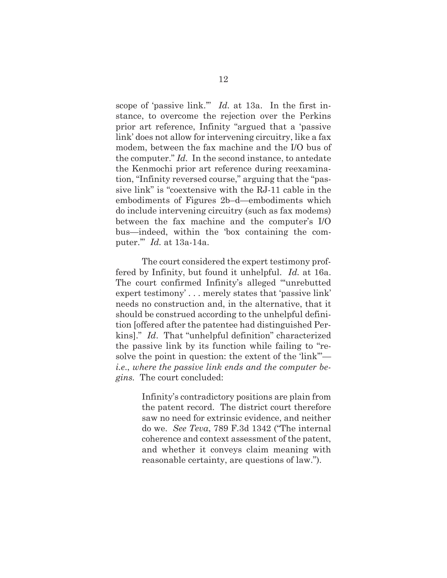scope of 'passive link.'" *Id.* at 13a. In the first instance, to overcome the rejection over the Perkins prior art reference, Infinity "argued that a 'passive link' does not allow for intervening circuitry, like a fax modem, between the fax machine and the I/O bus of the computer." *Id.* In the second instance, to antedate the Kenmochi prior art reference during reexamination, "Infinity reversed course," arguing that the "passive link" is "coextensive with the RJ-11 cable in the embodiments of Figures 2b–d—embodiments which do include intervening circuitry (such as fax modems) between the fax machine and the computer's I/O bus—indeed, within the 'box containing the computer.'" *Id.* at 13a-14a.

The court considered the expert testimony proffered by Infinity, but found it unhelpful. *Id.* at 16a. The court confirmed Infinity's alleged "unrebutted" expert testimony' . . . merely states that 'passive link' needs no construction and, in the alternative, that it should be construed according to the unhelpful definition [offered after the patentee had distinguished Perkins]." *Id*. That "unhelpful definition" characterized the passive link by its function while failing to "resolve the point in question: the extent of the 'link'" *i.e*., *where the passive link ends and the computer begins.* The court concluded:

> Infinity's contradictory positions are plain from the patent record. The district court therefore saw no need for extrinsic evidence, and neither do we. *See Teva*, 789 F.3d 1342 ("The internal coherence and context assessment of the patent, and whether it conveys claim meaning with reasonable certainty, are questions of law.").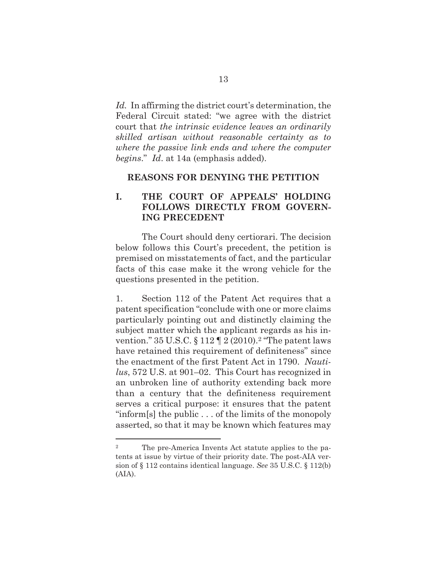*Id.* In affirming the district court's determination, the Federal Circuit stated: "we agree with the district court that *the intrinsic evidence leaves an ordinarily skilled artisan without reasonable certainty as to where the passive link ends and where the computer begins*." *Id*. at 14a (emphasis added).

#### **REASONS FOR DENYING THE PETITION**

### **I. THE COURT OF APPEALS' HOLDING FOLLOWS DIRECTLY FROM GOVERN-ING PRECEDENT**

The Court should deny certiorari. The decision below follows this Court's precedent, the petition is premised on misstatements of fact, and the particular facts of this case make it the wrong vehicle for the questions presented in the petition.

1. Section 112 of the Patent Act requires that a patent specification "conclude with one or more claims particularly pointing out and distinctly claiming the subject matter which the applicant regards as his invention."  $35 \text{ U.S.C.} \S 112 \P 2 (2010).$  "The patent laws" have retained this requirement of definiteness" since the enactment of the first Patent Act in 1790. *Nautilus*, 572 U.S. at 901–02. This Court has recognized in an unbroken line of authority extending back more than a century that the definiteness requirement serves a critical purpose: it ensures that the patent "inform[s] the public . . . of the limits of the monopoly asserted, so that it may be known which features may

<sup>2</sup> The pre-America Invents Act statute applies to the patents at issue by virtue of their priority date. The post-AIA version of § 112 contains identical language. *See* 35 U.S.C. § 112(b) (AIA).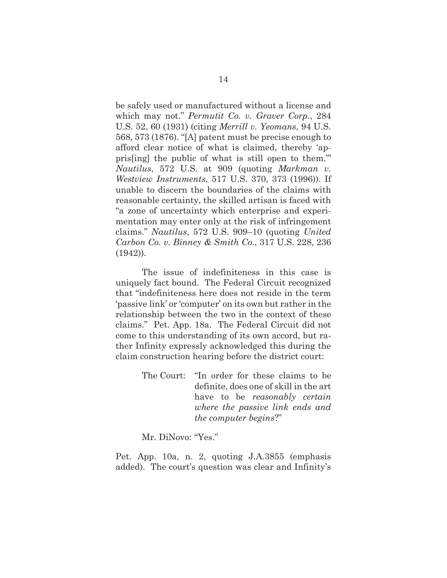be safely used or manufactured without a license and which may not." *Permutit Co. v. Graver Corp*., 284 U.S. 52, 60 (1931) (citing *Merrill v. Yeomans*, 94 U.S. 568, 573 (1876). "[A] patent must be precise enough to afford clear notice of what is claimed, thereby 'appris[ing] the public of what is still open to them.'" *Nautilus*, 572 U.S. at 909 (quoting *Markman v. Westview Instruments*, 517 U.S. 370, 373 (1996)). If unable to discern the boundaries of the claims with reasonable certainty, the skilled artisan is faced with "a zone of uncertainty which enterprise and experimentation may enter only at the risk of infringement claims." *Nautilus*, 572 U.S. 909–10 (quoting *United Carbon Co. v. Binney & Smith Co*., 317 U.S. 228, 236 (1942)).

 The issue of indefiniteness in this case is uniquely fact bound. The Federal Circuit recognized that "indefiniteness here does not reside in the term 'passive link' or 'computer' on its own but rather in the relationship between the two in the context of these claims." Pet. App. 18a. The Federal Circuit did not come to this understanding of its own accord, but rather Infinity expressly acknowledged this during the claim construction hearing before the district court:

> The Court: "In order for these claims to be definite, does one of skill in the art have to be *reasonably certain where the passive link ends and the computer begins*?"

Mr. DiNovo: "Yes."

Pet. App. 10a, n. 2, quoting J.A.3855 (emphasis added). The court's question was clear and Infinity's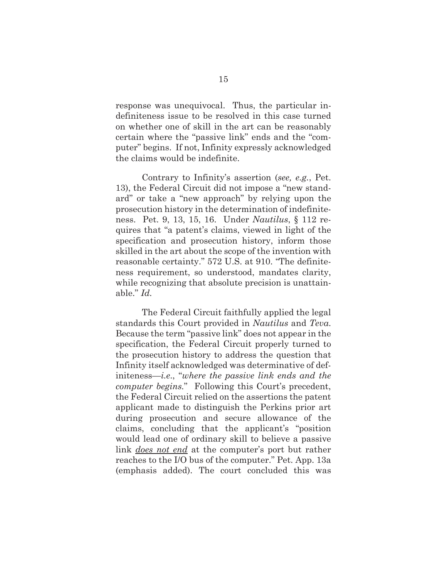response was unequivocal. Thus, the particular indefiniteness issue to be resolved in this case turned on whether one of skill in the art can be reasonably certain where the "passive link" ends and the "computer" begins. If not, Infinity expressly acknowledged the claims would be indefinite.

 Contrary to Infinity's assertion (*see, e.g.*, Pet. 13), the Federal Circuit did not impose a "new standard" or take a "new approach" by relying upon the prosecution history in the determination of indefiniteness. Pet. 9, 13, 15, 16. Under *Nautilus*, § 112 requires that "a patent's claims, viewed in light of the specification and prosecution history, inform those skilled in the art about the scope of the invention with reasonable certainty." 572 U.S. at 910. "The definiteness requirement, so understood, mandates clarity, while recognizing that absolute precision is unattainable." *Id.* 

The Federal Circuit faithfully applied the legal standards this Court provided in *Nautilus* and *Teva*. Because the term "passive link" does not appear in the specification, the Federal Circuit properly turned to the prosecution history to address the question that Infinity itself acknowledged was determinative of definiteness—*i.e*., "*where the passive link ends and the computer begins.*" Following this Court's precedent, the Federal Circuit relied on the assertions the patent applicant made to distinguish the Perkins prior art during prosecution and secure allowance of the claims, concluding that the applicant's "position would lead one of ordinary skill to believe a passive link *does not end* at the computer's port but rather reaches to the I/O bus of the computer." Pet. App. 13a (emphasis added). The court concluded this was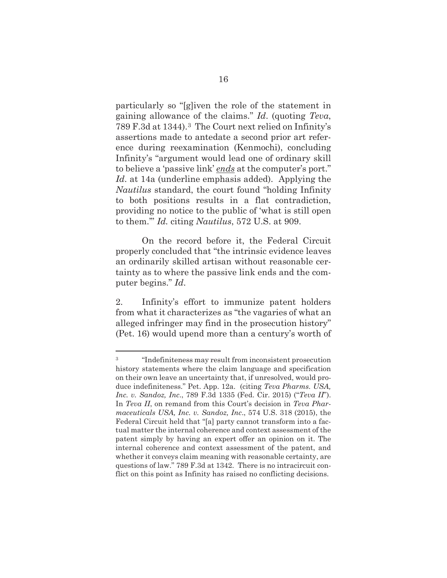particularly so "[g]iven the role of the statement in gaining allowance of the claims." *Id*. (quoting *Teva*, 789 F.3d at 1344).3 The Court next relied on Infinity's assertions made to antedate a second prior art reference during reexamination (Kenmochi), concluding Infinity's "argument would lead one of ordinary skill to believe a 'passive link' *ends* at the computer's port." *Id*. at 14a (underline emphasis added). Applying the *Nautilus* standard, the court found "holding Infinity to both positions results in a flat contradiction, providing no notice to the public of 'what is still open to them.'" *Id.* citing *Nautilus*, 572 U.S. at 909.

On the record before it, the Federal Circuit properly concluded that "the intrinsic evidence leaves an ordinarily skilled artisan without reasonable certainty as to where the passive link ends and the computer begins." *Id*.

2. Infinity's effort to immunize patent holders from what it characterizes as "the vagaries of what an alleged infringer may find in the prosecution history" (Pet. 16) would upend more than a century's worth of

<sup>3 &</sup>quot;Indefiniteness may result from inconsistent prosecution history statements where the claim language and specification on their own leave an uncertainty that, if unresolved, would produce indefiniteness." Pet. App. 12a. (citing *Teva Pharms. USA, Inc. v. Sandoz, Inc*., 789 F.3d 1335 (Fed. Cir. 2015) ("*Teva II*"). In *Teva II*, on remand from this Court's decision in *Teva Pharmaceuticals USA, Inc. v. Sandoz, Inc*., 574 U.S. 318 (2015), the Federal Circuit held that "[a] party cannot transform into a factual matter the internal coherence and context assessment of the patent simply by having an expert offer an opinion on it. The internal coherence and context assessment of the patent, and whether it conveys claim meaning with reasonable certainty, are questions of law." 789 F.3d at 1342. There is no intracircuit conflict on this point as Infinity has raised no conflicting decisions.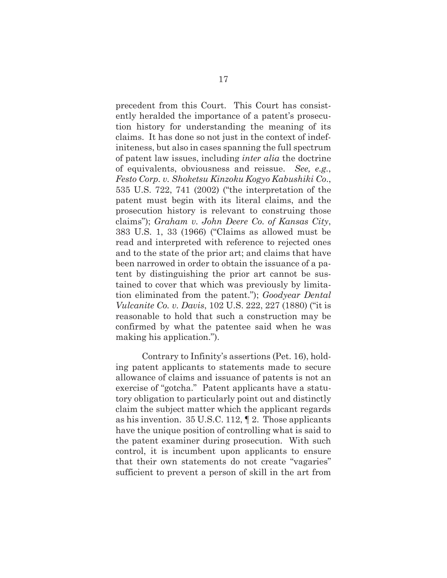precedent from this Court. This Court has consistently heralded the importance of a patent's prosecution history for understanding the meaning of its claims. It has done so not just in the context of indefiniteness, but also in cases spanning the full spectrum of patent law issues, including *inter alia* the doctrine of equivalents, obviousness and reissue. *See, e.g.*, *Festo Corp. v. Shoketsu Kinzoku Kogyo Kabushiki Co*., 535 U.S. 722, 741 (2002) ("the interpretation of the patent must begin with its literal claims, and the prosecution history is relevant to construing those claims"); *Graham v. John Deere Co. of Kansas City*, 383 U.S. 1, 33 (1966) ("Claims as allowed must be read and interpreted with reference to rejected ones and to the state of the prior art; and claims that have been narrowed in order to obtain the issuance of a patent by distinguishing the prior art cannot be sustained to cover that which was previously by limitation eliminated from the patent."); *Goodyear Dental Vulcanite Co. v. Davis*, 102 U.S. 222, 227 (1880) ("it is reasonable to hold that such a construction may be confirmed by what the patentee said when he was making his application.").

Contrary to Infinity's assertions (Pet. 16), holding patent applicants to statements made to secure allowance of claims and issuance of patents is not an exercise of "gotcha." Patent applicants have a statutory obligation to particularly point out and distinctly claim the subject matter which the applicant regards as his invention. 35 U.S.C. 112, ¶ 2. Those applicants have the unique position of controlling what is said to the patent examiner during prosecution. With such control, it is incumbent upon applicants to ensure that their own statements do not create "vagaries" sufficient to prevent a person of skill in the art from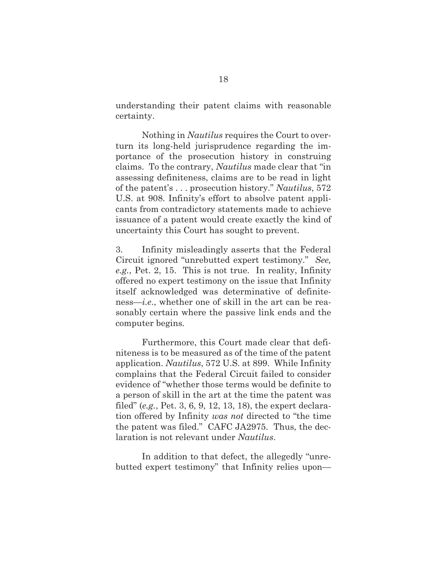understanding their patent claims with reasonable certainty.

Nothing in *Nautilus* requires the Court to overturn its long-held jurisprudence regarding the importance of the prosecution history in construing claims. To the contrary, *Nautilus* made clear that "in assessing definiteness, claims are to be read in light of the patent's . . . prosecution history." *Nautilus*, 572 U.S. at 908. Infinity's effort to absolve patent applicants from contradictory statements made to achieve issuance of a patent would create exactly the kind of uncertainty this Court has sought to prevent.

3. Infinity misleadingly asserts that the Federal Circuit ignored "unrebutted expert testimony." *See, e.g.*, Pet. 2, 15. This is not true. In reality, Infinity offered no expert testimony on the issue that Infinity itself acknowledged was determinative of definiteness—*i.e*., whether one of skill in the art can be reasonably certain where the passive link ends and the computer begins*.*

Furthermore, this Court made clear that definiteness is to be measured as of the time of the patent application. *Nautilus*, 572 U.S. at 899. While Infinity complains that the Federal Circuit failed to consider evidence of "whether those terms would be definite to a person of skill in the art at the time the patent was filed" (*e.g.*, Pet. 3, 6, 9, 12, 13, 18), the expert declaration offered by Infinity *was not* directed to "the time the patent was filed." CAFC JA2975. Thus, the declaration is not relevant under *Nautilus*.

In addition to that defect, the allegedly "unrebutted expert testimony" that Infinity relies upon—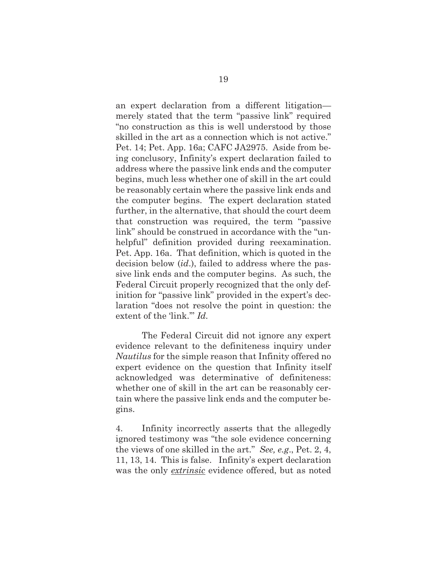an expert declaration from a different litigation merely stated that the term "passive link" required "no construction as this is well understood by those skilled in the art as a connection which is not active." Pet. 14; Pet. App. 16a; CAFC JA2975. Aside from being conclusory, Infinity's expert declaration failed to address where the passive link ends and the computer begins, much less whether one of skill in the art could be reasonably certain where the passive link ends and the computer begins. The expert declaration stated further, in the alternative, that should the court deem that construction was required, the term "passive link" should be construed in accordance with the "unhelpful" definition provided during reexamination. Pet. App. 16a. That definition, which is quoted in the decision below (*id*.), failed to address where the passive link ends and the computer begins. As such, the Federal Circuit properly recognized that the only definition for "passive link" provided in the expert's declaration "does not resolve the point in question: the extent of the 'link." *Id.* 

The Federal Circuit did not ignore any expert evidence relevant to the definiteness inquiry under *Nautilus* for the simple reason that Infinity offered no expert evidence on the question that Infinity itself acknowledged was determinative of definiteness: whether one of skill in the art can be reasonably certain where the passive link ends and the computer begins.

4. Infinity incorrectly asserts that the allegedly ignored testimony was "the sole evidence concerning the views of one skilled in the art." *See, e.g*., Pet. 2, 4, 11, 13, 14. This is false. Infinity's expert declaration was the only *extrinsic* evidence offered, but as noted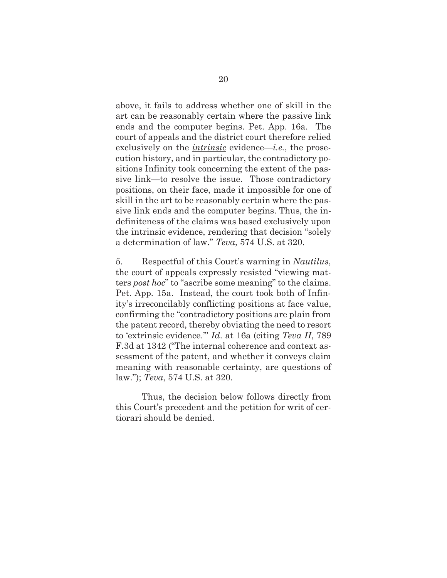above, it fails to address whether one of skill in the art can be reasonably certain where the passive link ends and the computer begins. Pet. App. 16a. The court of appeals and the district court therefore relied exclusively on the *intrinsic* evidence—*i.e.*, the prosecution history, and in particular, the contradictory positions Infinity took concerning the extent of the passive link—to resolve the issue. Those contradictory positions, on their face, made it impossible for one of skill in the art to be reasonably certain where the passive link ends and the computer begins. Thus, the indefiniteness of the claims was based exclusively upon the intrinsic evidence, rendering that decision "solely a determination of law." *Teva*, 574 U.S. at 320.

5. Respectful of this Court's warning in *Nautilus*, the court of appeals expressly resisted "viewing matters *post hoc*" to "ascribe some meaning" to the claims. Pet. App. 15a. Instead, the court took both of Infinity's irreconcilably conflicting positions at face value, confirming the "contradictory positions are plain from the patent record, thereby obviating the need to resort to 'extrinsic evidence.'" *Id*. at 16a (citing *Teva II*, 789 F.3d at 1342 ("The internal coherence and context assessment of the patent, and whether it conveys claim meaning with reasonable certainty, are questions of law."); *Teva*, 574 U.S. at 320.

Thus, the decision below follows directly from this Court's precedent and the petition for writ of certiorari should be denied.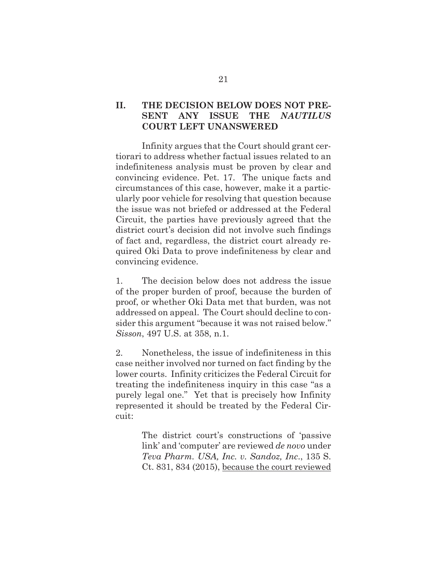### **II. THE DECISION BELOW DOES NOT PRE-SENT ANY ISSUE THE** *NAUTILUS* **COURT LEFT UNANSWERED**

Infinity argues that the Court should grant certiorari to address whether factual issues related to an indefiniteness analysis must be proven by clear and convincing evidence. Pet. 17. The unique facts and circumstances of this case, however, make it a particularly poor vehicle for resolving that question because the issue was not briefed or addressed at the Federal Circuit, the parties have previously agreed that the district court's decision did not involve such findings of fact and, regardless, the district court already required Oki Data to prove indefiniteness by clear and convincing evidence.

1. The decision below does not address the issue of the proper burden of proof, because the burden of proof, or whether Oki Data met that burden, was not addressed on appeal. The Court should decline to consider this argument "because it was not raised below." *Sisson*, 497 U.S. at 358, n.1.

2. Nonetheless, the issue of indefiniteness in this case neither involved nor turned on fact finding by the lower courts. Infinity criticizes the Federal Circuit for treating the indefiniteness inquiry in this case "as a purely legal one." Yet that is precisely how Infinity represented it should be treated by the Federal Circuit:

> The district court's constructions of 'passive link' and 'computer' are reviewed *de novo* under *Teva Pharm. USA, Inc. v. Sandoz, Inc*., 135 S. Ct. 831, 834 (2015), because the court reviewed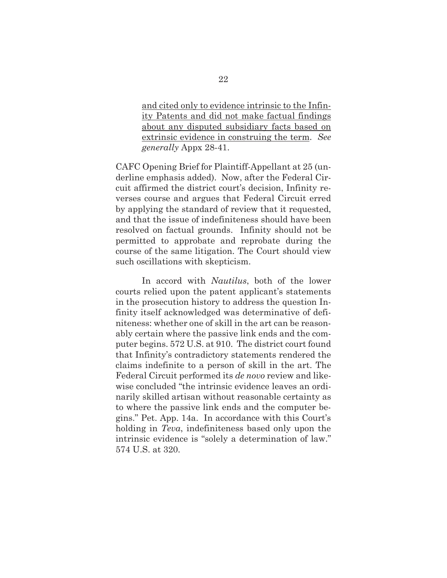and cited only to evidence intrinsic to the Infinity Patents and did not make factual findings about any disputed subsidiary facts based on extrinsic evidence in construing the term. *See generally* Appx 28-41.

CAFC Opening Brief for Plaintiff-Appellant at 25 (underline emphasis added). Now, after the Federal Circuit affirmed the district court's decision, Infinity reverses course and argues that Federal Circuit erred by applying the standard of review that it requested, and that the issue of indefiniteness should have been resolved on factual grounds. Infinity should not be permitted to approbate and reprobate during the course of the same litigation. The Court should view such oscillations with skepticism.

In accord with *Nautilus*, both of the lower courts relied upon the patent applicant's statements in the prosecution history to address the question Infinity itself acknowledged was determinative of definiteness: whether one of skill in the art can be reasonably certain where the passive link ends and the computer begins. 572 U.S. at 910. The district court found that Infinity's contradictory statements rendered the claims indefinite to a person of skill in the art. The Federal Circuit performed its *de novo* review and likewise concluded "the intrinsic evidence leaves an ordinarily skilled artisan without reasonable certainty as to where the passive link ends and the computer begins." Pet. App. 14a. In accordance with this Court's holding in *Teva*, indefiniteness based only upon the intrinsic evidence is "solely a determination of law." 574 U.S. at 320.